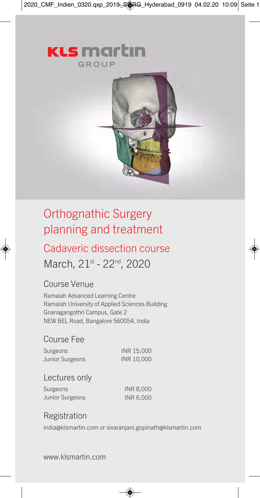2020\_CMF\_Indien\_0320.qxp\_2019\_SORG\_Hyderabad\_0919 04.02.20 10:09 Seite 1



# Orthognathic Surgery planning and treatment

# Cadaveric dissection course

March, 21st - 22<sup>nd</sup>, 2020

#### Course Venue

Ramaiah Advanced Learning Centre Ramaiah University of Applied Sciences Building Gnanagangothri Campus, Gate 2 NEW BEL Road, Bangalore 560054, India

#### Course Fee

Surgeons INR 15,000 Junior Surgeons INR 10,000

#### Lectures only

Surgeons INR 8,000 Junior Surgeons INR 6,000

#### Registration

india@klsmartin.com or sivaranjani.gopinath@klsmartin.com

www.klsmartin.com